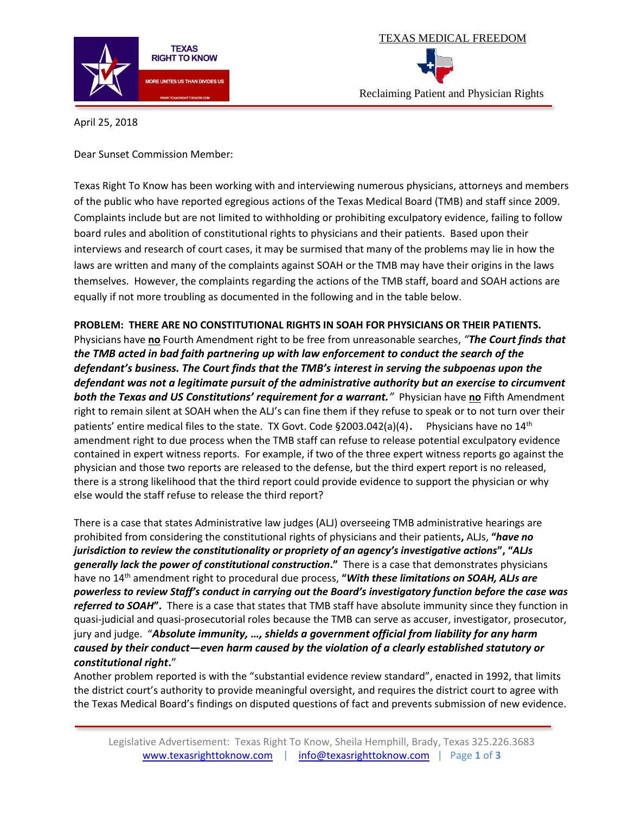



April 25, 2018

Dear Sunset Commission Member:

Texas Right To Know has been working with and interviewing numerous physicians, attorneys and members of the public who have reported egregious actions of the Texas Medical Board (TMB) and staff since 2009. Complaints include but are not limited to withholding or prohibiting exculpatory evidence, failing to follow board rules and abolition of constitutional rights to physicians and their patients. Based upon their interviews and research of court cases, it may be surmised that many of the problems may lie in how the laws are written and many of the complaints against SOAH or the TMB may have their origins in the laws themselves. However, the complaints regarding the actions of the TMB staff, board and SOAH actions are equally if not more troubling as documented in the following and in the table below.

**PROBLEM: THERE ARE NO CONSTITUTIONAL RIGHTS IN SOAH FOR PHYSICIANS OR THEIR PATIENTS.**  Physicians have **no** Fourth Amendment right to be free from unreasonable searches, *"The Court finds that the TMB acted in bad faith partnering up with law enforcement to conduct the search of the defendant's business. The Court finds that the TMB's interest in serving the subpoenas upon the defendant was not a legitimate pursuit of the administrative authority but an exercise to circumvent both the Texas and US Constitutions' requirement for a warrant."* Physician have **no** Fifth Amendment right to remain silent at SOAH when the ALJ's can fine them if they refuse to speak or to not turn over their patients' entire medical files to the state. TX Govt. Code  $\S 2003.042(a)(4)$ . Physicians have no  $14<sup>th</sup>$ amendment right to due process when the TMB staff can refuse to release potential exculpatory evidence contained in expert witness reports. For example, if two of the three expert witness reports go against the physician and those two reports are released to the defense, but the third expert report is no released, there is a strong likelihood that the third report could provide evidence to support the physician or why else would the staff refuse to release the third report?

There is a case that states Administrative law judges (ALJ) overseeing TMB administrative hearings are prohibited from considering the constitutional rights of physicians and their patients**,** ALJs, **"***have no jurisdiction to review the constitutionality or propriety of an agency's investigative actions***", "***ALJs generally lack the power of constitutional construction***."** There is a case that demonstrates physicians have no 14th amendment right to procedural due process, **"***With these limitations on SOAH, ALJs are powerless to review Staff's conduct in carrying out the Board's investigatory function before the case was referred to SOAH***".** There is a case that states that TMB staff have absolute immunity since they function in quasi-judicial and quasi-prosecutorial roles because the TMB can serve as accuser, investigator, prosecutor, jury and judge. "*Absolute immunity, …, shields a government official from liability for any harm caused by their conduct—even harm caused by the violation of a clearly established statutory or constitutional right***.**"

Another problem reported is with the "substantial evidence review standard", enacted in 1992, that limits the district court's authority to provide meaningful oversight, and requires the district court to agree with the Texas Medical Board's findings on disputed questions of fact and prevents submission of new evidence.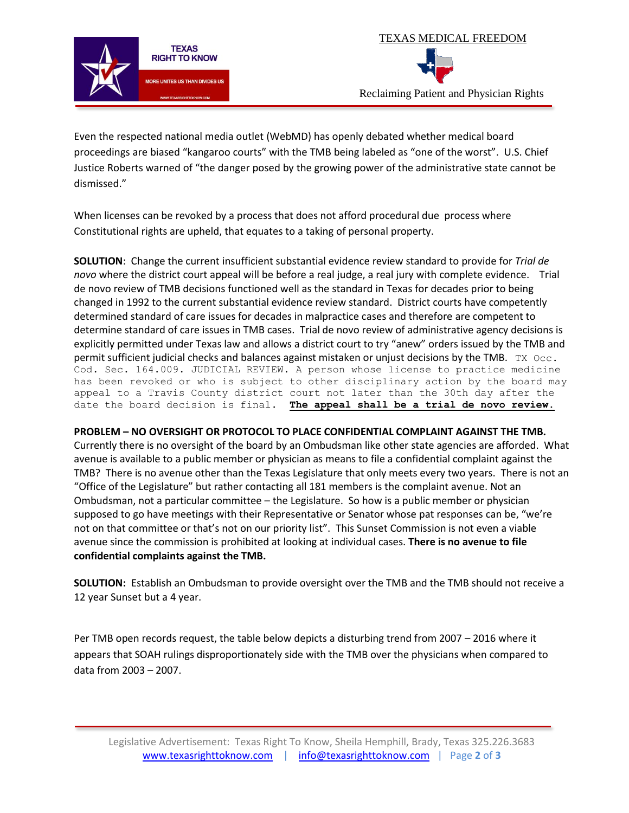



Even the respected national media outlet (WebMD) has openly debated whether medical board proceedings are biased "kangaroo courts" with the TMB being labeled as "one of the worst". U.S. Chief Justice Roberts warned of "the danger posed by the growing power of the administrative state cannot be dismissed."

When licenses can be revoked by a process that does not afford procedural due process where Constitutional rights are upheld, that equates to a taking of personal property.

**SOLUTION**: Change the current insufficient substantial evidence review standard to provide for *Trial de novo* where the district court appeal will be before a real judge, a real jury with complete evidence. Trial de novo review of TMB decisions functioned well as the standard in Texas for decades prior to being changed in 1992 to the current substantial evidence review standard. District courts have competently determined standard of care issues for decades in malpractice cases and therefore are competent to determine standard of care issues in TMB cases. Trial de novo review of administrative agency decisions is explicitly permitted under Texas law and allows a district court to try "anew" orders issued by the TMB and permit sufficient judicial checks and balances against mistaken or unjust decisions by the TMB. TX  $\text{Occ}$ . Cod. Sec. 164.009. JUDICIAL REVIEW. A person whose license to practice medicine has been revoked or who is subject to other disciplinary action by the board may appeal to a Travis County district court not later than the 30th day after the date the board decision is final. **The appeal shall be a trial de novo review.**

## **PROBLEM – NO OVERSIGHT OR PROTOCOL TO PLACE CONFIDENTIAL COMPLAINT AGAINST THE TMB.**

Currently there is no oversight of the board by an Ombudsman like other state agencies are afforded. What avenue is available to a public member or physician as means to file a confidential complaint against the TMB? There is no avenue other than the Texas Legislature that only meets every two years. There is not an "Office of the Legislature" but rather contacting all 181 members is the complaint avenue. Not an Ombudsman, not a particular committee – the Legislature. So how is a public member or physician supposed to go have meetings with their Representative or Senator whose pat responses can be, "we're not on that committee or that's not on our priority list". This Sunset Commission is not even a viable avenue since the commission is prohibited at looking at individual cases. **There is no avenue to file confidential complaints against the TMB.**

**SOLUTION:** Establish an Ombudsman to provide oversight over the TMB and the TMB should not receive a 12 year Sunset but a 4 year.

Per TMB open records request, the table below depicts a disturbing trend from 2007 – 2016 where it appears that SOAH rulings disproportionately side with the TMB over the physicians when compared to data from 2003 – 2007.